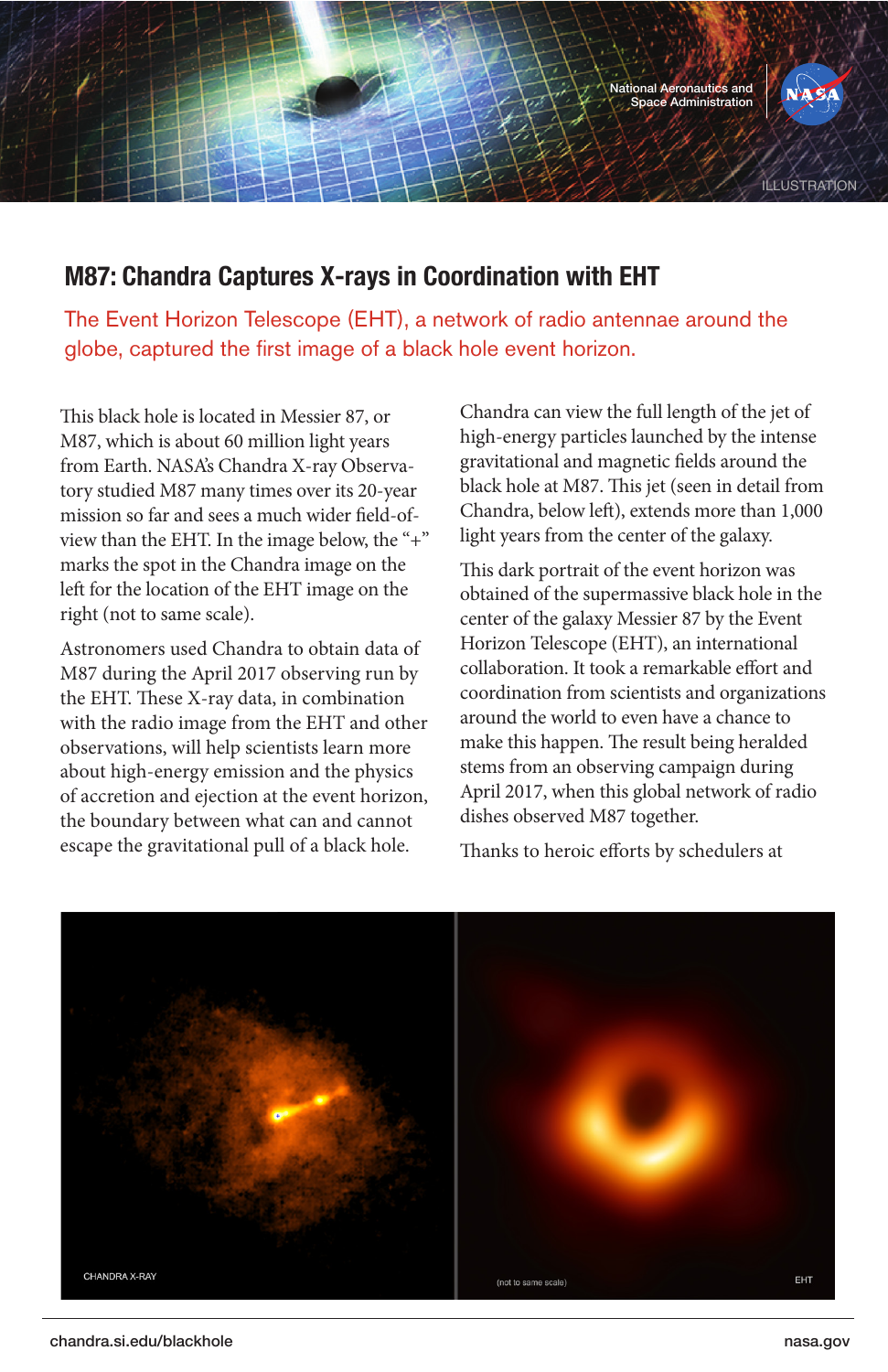

## **M87: Chandra Captures X-rays in Coordination with EHT**

The Event Horizon Telescope (EHT), a network of radio antennae around the globe, captured the first image of a black hole event horizon.

This black hole is located in Messier 87, or M87, which is about 60 million light years from Earth. NASA's Chandra X-ray Observatory studied M87 many times over its 20-year mission so far and sees a much wider field-ofview than the EHT. In the image below, the "+" marks the spot in the Chandra image on the left for the location of the EHT image on the right (not to same scale).

Astronomers used Chandra to obtain data of M87 during the April 2017 observing run by the EHT. These X-ray data, in combination with the radio image from the EHT and other observations, will help scientists learn more about high-energy emission and the physics of accretion and ejection at the event horizon, the boundary between what can and cannot escape the gravitational pull of a black hole.

Chandra can view the full length of the jet of high-energy particles launched by the intense gravitational and magnetic fields around the black hole at M87. This jet (seen in detail from Chandra, below left), extends more than 1,000 light years from the center of the galaxy.

This dark portrait of the event horizon was obtained of the supermassive black hole in the center of the galaxy Messier 87 by the Event Horizon Telescope (EHT), an international collaboration. It took a remarkable effort and coordination from scientists and organizations around the world to even have a chance to make this happen. The result being heralded stems from an observing campaign during April 2017, when this global network of radio dishes observed M87 together.

Thanks to heroic efforts by schedulers at